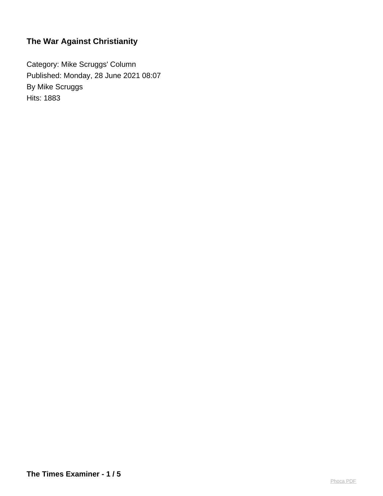Category: Mike Scruggs' Column Published: Monday, 28 June 2021 08:07 By Mike Scruggs Hits: 1883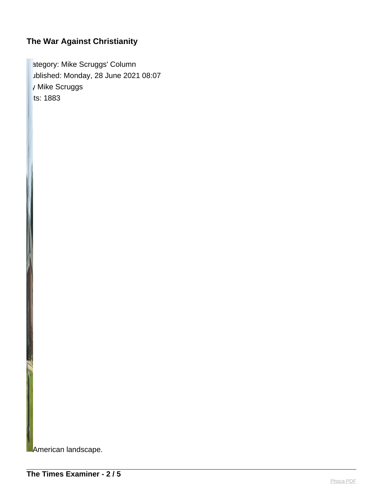ategory: Mike Scruggs' Column ublished: Monday, 28 June 2021 08:07 y Mike Scruggs  $its: 1883$ 

**MAmerican landscape.**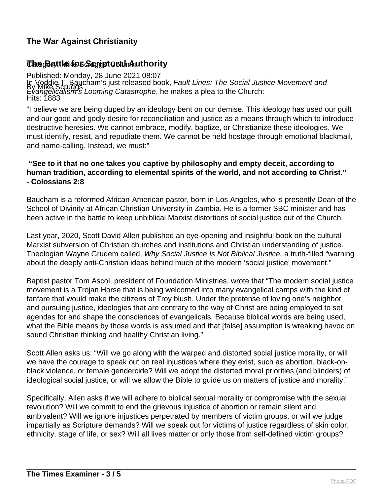### **The Battle for Script CoalmAuthority**

Published: Monday, 28 June 2021 08:07 In Voddie T. Baucham's just released book, *Fault Lines: The Social Justice Movement and*<br>By Mike Scruggs Leeming Cetestranke he makes a plas to the Church. Hits: 1883 Evangelicalism's Looming Catastrophe, he makes a plea to the Church:

"I believe we are being duped by an ideology bent on our demise. This ideology has used our guilt and our good and godly desire for reconciliation and justice as a means through which to introduce destructive heresies. We cannot embrace, modify, baptize, or Christianize these ideologies. We must identify, resist, and repudiate them. We cannot be held hostage through emotional blackmail, and name-calling. Instead, we must:"

#### **"See to it that no one takes you captive by philosophy and empty deceit, according to human tradition, according to elemental spirits of the world, and not according to Christ." - Colossians 2:8**

Baucham is a reformed African-American pastor, born in Los Angeles, who is presently Dean of the School of Divinity at African Christian University in Zambia. He is a former SBC minister and has been active in the battle to keep unbiblical Marxist distortions of social justice out of the Church.

Last year, 2020, Scott David Allen published an eye-opening and insightful book on the cultural Marxist subversion of Christian churches and institutions and Christian understanding of justice. Theologian Wayne Grudem called, Why Social Justice Is Not Biblical Justice, a truth-filled "warning about the deeply anti-Christian ideas behind much of the modern 'social justice' movement."

Baptist pastor Tom Ascol, president of Foundation Ministries, wrote that "The modern social justice movement is a Trojan Horse that is being welcomed into many evangelical camps with the kind of fanfare that would make the citizens of Troy blush. Under the pretense of loving one's neighbor and pursuing justice, ideologies that are contrary to the way of Christ are being employed to set agendas for and shape the consciences of evangelicals. Because biblical words are being used, what the Bible means by those words is assumed and that [false] assumption is wreaking havoc on sound Christian thinking and healthy Christian living."

Scott Allen asks us: "Will we go along with the warped and distorted social justice morality, or will we have the courage to speak out on real injustices where they exist, such as abortion, black-onblack violence, or female gendercide? Will we adopt the distorted moral priorities (and blinders) of ideological social justice, or will we allow the Bible to guide us on matters of justice and morality."

Specifically, Allen asks if we will adhere to biblical sexual morality or compromise with the sexual revolution? Will we commit to end the grievous injustice of abortion or remain silent and ambivalent? Will we ignore injustices perpetrated by members of victim groups, or will we judge impartially as Scripture demands? Will we speak out for victims of justice regardless of skin color, ethnicity, stage of life, or sex? Will all lives matter or only those from self-defined victim groups?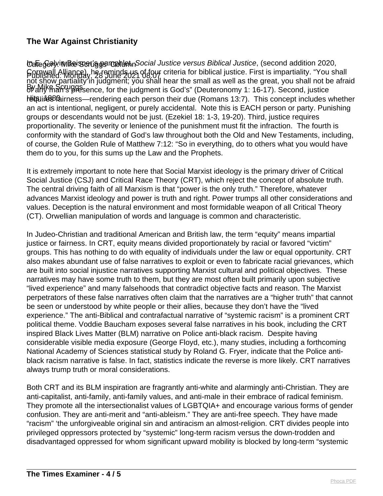to<mark>atege്ദി</mark>yi**i Mike ആ** സ്ലേഷണയില്ലി Social Justice versus Biblical Justice, (second addition 2020, Published: Monday, 28 June 2021 08:07 By Mike Scruggs Hitsuire Bairness—rendering each person their due (Romans 13:7). This concept includes whether Cornwall Alliance), he reminds us of four criteria for biblical justice. First is impartiality. "You shall not show partiality in judgment; you shall hear the small as well as the great, you shall not be afraid b<sup>y</sup>dhy fhan's presence, for the judgment is God's" (Deuteronomy 1: 16-17). Second, justice an act is intentional, negligent, or purely accidental. Note this is EACH person or party. Punishing groups or descendants would not be just. (Ezekiel 18: 1-3, 19-20). Third, justice requires proportionality. The severity or lenience of the punishment must fit the infraction. The fourth is conformity with the standard of God's law throughout both the Old and New Testaments, including, of course, the Golden Rule of Matthew 7:12: "So in everything, do to others what you would have them do to you, for this sums up the Law and the Prophets.

It is extremely important to note here that Social Marxist ideology is the primary driver of Critical Social Justice (CSJ) and Critical Race Theory (CRT), which reject the concept of absolute truth. The central driving faith of all Marxism is that "power is the only truth." Therefore, whatever advances Marxist ideology and power is truth and right. Power trumps all other considerations and values. Deception is the natural environment and most formidable weapon of all Critical Theory (CT). Orwellian manipulation of words and language is common and characteristic.

In Judeo-Christian and traditional American and British law, the term "equity" means impartial justice or fairness. In CRT, equity means divided proportionately by racial or favored "victim" groups. This has nothing to do with equality of individuals under the law or equal opportunity. CRT also makes abundant use of false narratives to exploit or even to fabricate racial grievances, which are built into social injustice narratives supporting Marxist cultural and political objectives. These narratives may have some truth to them, but they are most often built primarily upon subjective "lived experience" and many falsehoods that contradict objective facts and reason. The Marxist perpetrators of these false narratives often claim that the narratives are a "higher truth" that cannot be seen or understood by white people or their allies, because they don't have the "lived experience." The anti-Biblical and contrafactual narrative of "systemic racism" is a prominent CRT political theme. Voddie Baucham exposes several false narratives in his book, including the CRT inspired Black Lives Matter (BLM) narrative on Police anti-black racism. Despite having considerable visible media exposure (George Floyd, etc.), many studies, including a forthcoming National Academy of Sciences statistical study by Roland G. Fryer, indicate that the Police antiblack racism narrative is false. In fact, statistics indicate the reverse is more likely. CRT narratives always trump truth or moral considerations.

Both CRT and its BLM inspiration are fragrantly anti-white and alarmingly anti-Christian. They are anti-capitalist, anti-family, anti-family values, and anti-male in their embrace of radical feminism. They promote all the intersectionalist values of LGBTQIA+ and encourage various forms of gender confusion. They are anti-merit and "anti-ableism." They are anti-free speech. They have made "racism" 'the unforgiveable original sin and antiracism an almost-religion. CRT divides people into privileged oppressors protected by "systemic" long-term racism versus the down-trodden and disadvantaged oppressed for whom significant upward mobility is blocked by long-term "systemic